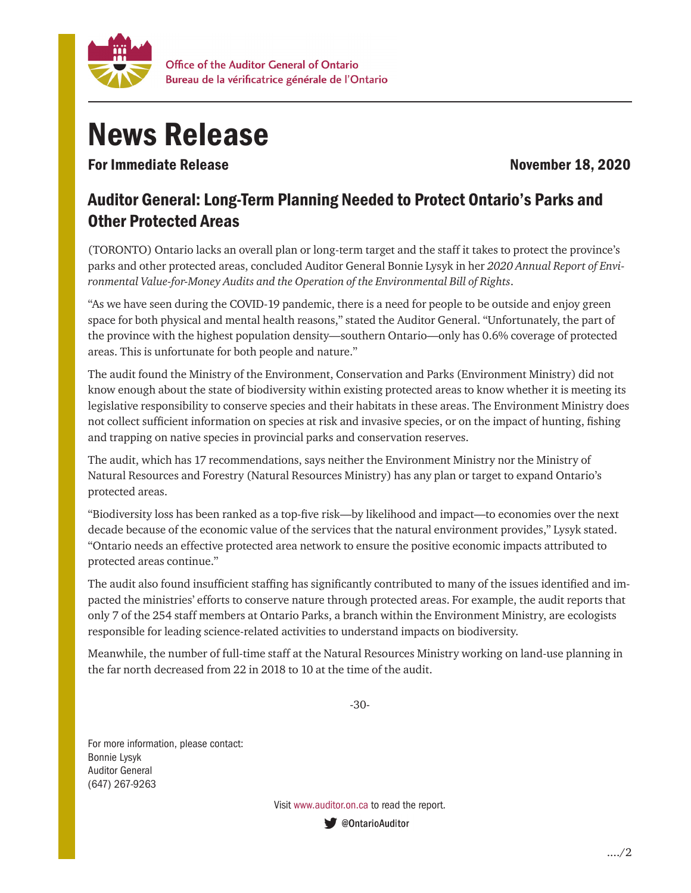

## News Release

For Immediate Release November 18, 2020

## Auditor General: Long-Term Planning Needed to Protect Ontario's Parks and Other Protected Areas

(TORONTO) Ontario lacks an overall plan or long-term target and the staff it takes to protect the province's parks and other protected areas, concluded Auditor General Bonnie Lysyk in her *2020 Annual Report of Environmental Value-for-Money Audits and the Operation of the Environmental Bill of Rights*.

"As we have seen during the COVID-19 pandemic, there is a need for people to be outside and enjoy green space for both physical and mental health reasons," stated the Auditor General. "Unfortunately, the part of the province with the highest population density—southern Ontario—only has 0.6% coverage of protected areas. This is unfortunate for both people and nature."

The audit found the Ministry of the Environment, Conservation and Parks (Environment Ministry) did not know enough about the state of biodiversity within existing protected areas to know whether it is meeting its legislative responsibility to conserve species and their habitats in these areas. The Environment Ministry does not collect sufficient information on species at risk and invasive species, or on the impact of hunting, fishing and trapping on native species in provincial parks and conservation reserves.

The audit, which has 17 recommendations, says neither the Environment Ministry nor the Ministry of Natural Resources and Forestry (Natural Resources Ministry) has any plan or target to expand Ontario's protected areas.

"Biodiversity loss has been ranked as a top-five risk—by likelihood and impact—to economies over the next decade because of the economic value of the services that the natural environment provides," Lysyk stated. "Ontario needs an effective protected area network to ensure the positive economic impacts attributed to protected areas continue."

The audit also found insufficient staffing has significantly contributed to many of the issues identified and impacted the ministries' efforts to conserve nature through protected areas. For example, the audit reports that only 7 of the 254 staff members at Ontario Parks, a branch within the Environment Ministry, are ecologists responsible for leading science-related activities to understand impacts on biodiversity.

Meanwhile, the number of full-time staff at the Natural Resources Ministry working on land-use planning in the far north decreased from 22 in 2018 to 10 at the time of the audit.

-30-

For more information, please contact: Bonnie Lysyk Auditor General (647) 267-9263

> Visit www.auditor.on.ca to read the report.ContarioAuditor